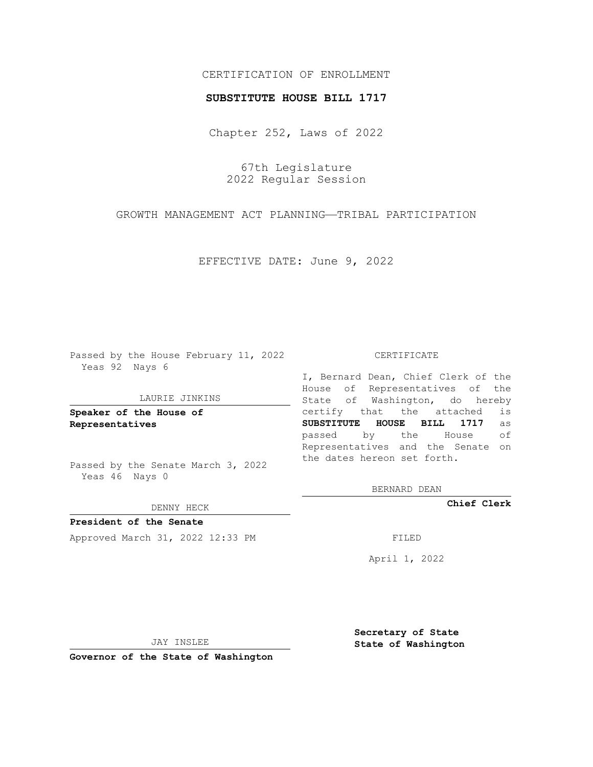# CERTIFICATION OF ENROLLMENT

### **SUBSTITUTE HOUSE BILL 1717**

Chapter 252, Laws of 2022

67th Legislature 2022 Regular Session

GROWTH MANAGEMENT ACT PLANNING—TRIBAL PARTICIPATION

EFFECTIVE DATE: June 9, 2022

Passed by the House February 11, 2022 Yeas 92 Nays 6

#### LAURIE JINKINS

**Speaker of the House of Representatives**

Passed by the Senate March 3, 2022 Yeas 46 Nays 0

DENNY HECK

**President of the Senate** Approved March 31, 2022 12:33 PM FILED

CERTIFICATE

I, Bernard Dean, Chief Clerk of the House of Representatives of the State of Washington, do hereby certify that the attached is **SUBSTITUTE HOUSE BILL 1717** as passed by the House of Representatives and the Senate on the dates hereon set forth.

BERNARD DEAN

**Chief Clerk**

April 1, 2022

JAY INSLEE

**Governor of the State of Washington**

**Secretary of State State of Washington**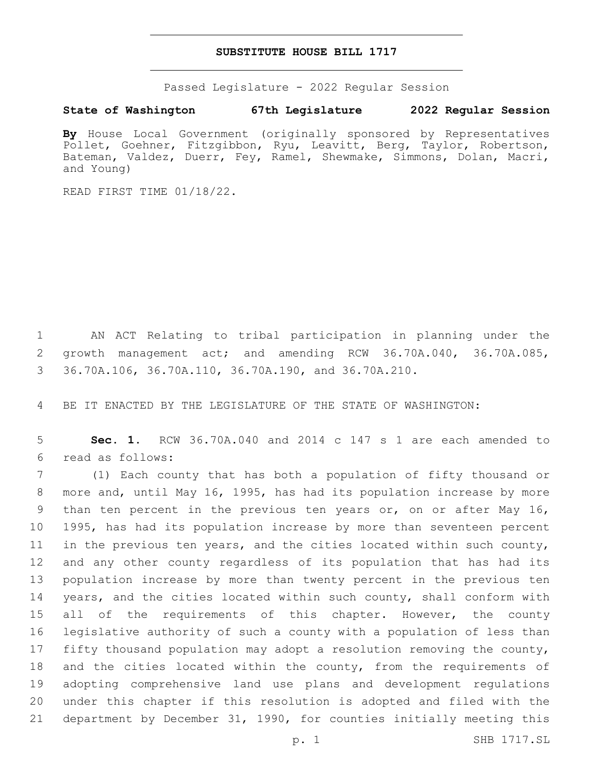## **SUBSTITUTE HOUSE BILL 1717**

Passed Legislature - 2022 Regular Session

# **State of Washington 67th Legislature 2022 Regular Session**

**By** House Local Government (originally sponsored by Representatives Pollet, Goehner, Fitzgibbon, Ryu, Leavitt, Berg, Taylor, Robertson, Bateman, Valdez, Duerr, Fey, Ramel, Shewmake, Simmons, Dolan, Macri, and Young)

READ FIRST TIME 01/18/22.

1 AN ACT Relating to tribal participation in planning under the 2 growth management act; and amending RCW 36.70A.040, 36.70A.085, 3 36.70A.106, 36.70A.110, 36.70A.190, and 36.70A.210.

4 BE IT ENACTED BY THE LEGISLATURE OF THE STATE OF WASHINGTON:

5 **Sec. 1.** RCW 36.70A.040 and 2014 c 147 s 1 are each amended to read as follows:6

 (1) Each county that has both a population of fifty thousand or more and, until May 16, 1995, has had its population increase by more than ten percent in the previous ten years or, on or after May 16, 1995, has had its population increase by more than seventeen percent in the previous ten years, and the cities located within such county, and any other county regardless of its population that has had its population increase by more than twenty percent in the previous ten years, and the cities located within such county, shall conform with 15 all of the requirements of this chapter. However, the county legislative authority of such a county with a population of less than fifty thousand population may adopt a resolution removing the county, 18 and the cities located within the county, from the requirements of adopting comprehensive land use plans and development regulations under this chapter if this resolution is adopted and filed with the department by December 31, 1990, for counties initially meeting this

p. 1 SHB 1717.SL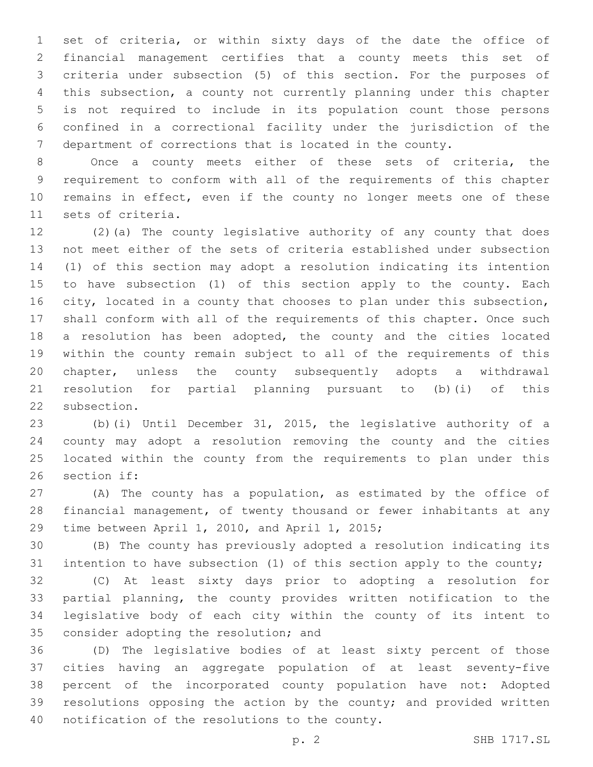set of criteria, or within sixty days of the date the office of financial management certifies that a county meets this set of criteria under subsection (5) of this section. For the purposes of this subsection, a county not currently planning under this chapter is not required to include in its population count those persons confined in a correctional facility under the jurisdiction of the department of corrections that is located in the county.

 Once a county meets either of these sets of criteria, the requirement to conform with all of the requirements of this chapter remains in effect, even if the county no longer meets one of these 11 sets of criteria.

 (2)(a) The county legislative authority of any county that does not meet either of the sets of criteria established under subsection (1) of this section may adopt a resolution indicating its intention to have subsection (1) of this section apply to the county. Each 16 city, located in a county that chooses to plan under this subsection, shall conform with all of the requirements of this chapter. Once such a resolution has been adopted, the county and the cities located within the county remain subject to all of the requirements of this chapter, unless the county subsequently adopts a withdrawal resolution for partial planning pursuant to (b)(i) of this 22 subsection.

 (b)(i) Until December 31, 2015, the legislative authority of a county may adopt a resolution removing the county and the cities located within the county from the requirements to plan under this 26 section if:

 (A) The county has a population, as estimated by the office of financial management, of twenty thousand or fewer inhabitants at any 29 time between April 1, 2010, and April 1, 2015;

 (B) The county has previously adopted a resolution indicating its intention to have subsection (1) of this section apply to the county;

 (C) At least sixty days prior to adopting a resolution for partial planning, the county provides written notification to the legislative body of each city within the county of its intent to 35 consider adopting the resolution; and

 (D) The legislative bodies of at least sixty percent of those cities having an aggregate population of at least seventy-five percent of the incorporated county population have not: Adopted resolutions opposing the action by the county; and provided written 40 notification of the resolutions to the county.

p. 2 SHB 1717.SL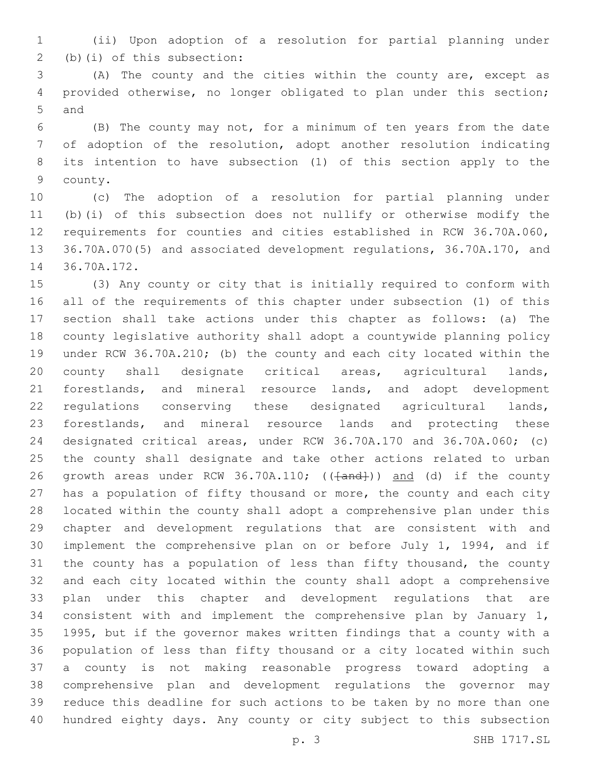(ii) Upon adoption of a resolution for partial planning under (b)(i) of this subsection:2

 (A) The county and the cities within the county are, except as provided otherwise, no longer obligated to plan under this section; 5 and

 (B) The county may not, for a minimum of ten years from the date of adoption of the resolution, adopt another resolution indicating its intention to have subsection (1) of this section apply to the 9 county.

 (c) The adoption of a resolution for partial planning under (b)(i) of this subsection does not nullify or otherwise modify the requirements for counties and cities established in RCW 36.70A.060, 36.70A.070(5) and associated development regulations, 36.70A.170, and 14 36.70A.172.

 (3) Any county or city that is initially required to conform with all of the requirements of this chapter under subsection (1) of this section shall take actions under this chapter as follows: (a) The county legislative authority shall adopt a countywide planning policy under RCW 36.70A.210; (b) the county and each city located within the county shall designate critical areas, agricultural lands, forestlands, and mineral resource lands, and adopt development regulations conserving these designated agricultural lands, forestlands, and mineral resource lands and protecting these designated critical areas, under RCW 36.70A.170 and 36.70A.060; (c) the county shall designate and take other actions related to urban 26 growth areas under RCW 36.70A.110; (( $\{\text{and}\}$ )) and (d) if the county has a population of fifty thousand or more, the county and each city located within the county shall adopt a comprehensive plan under this chapter and development regulations that are consistent with and implement the comprehensive plan on or before July 1, 1994, and if the county has a population of less than fifty thousand, the county and each city located within the county shall adopt a comprehensive plan under this chapter and development regulations that are consistent with and implement the comprehensive plan by January 1, 1995, but if the governor makes written findings that a county with a population of less than fifty thousand or a city located within such a county is not making reasonable progress toward adopting a comprehensive plan and development regulations the governor may reduce this deadline for such actions to be taken by no more than one hundred eighty days. Any county or city subject to this subsection

p. 3 SHB 1717.SL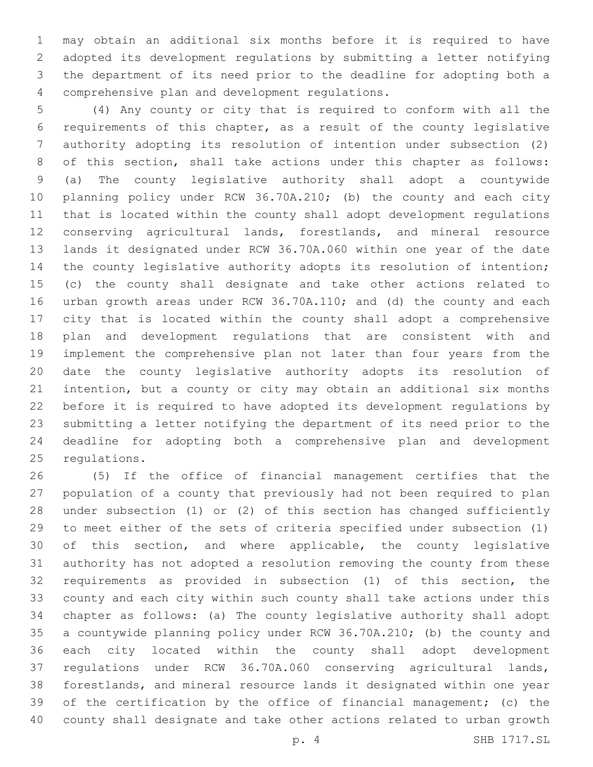may obtain an additional six months before it is required to have adopted its development regulations by submitting a letter notifying the department of its need prior to the deadline for adopting both a comprehensive plan and development regulations.4

 (4) Any county or city that is required to conform with all the requirements of this chapter, as a result of the county legislative authority adopting its resolution of intention under subsection (2) of this section, shall take actions under this chapter as follows: (a) The county legislative authority shall adopt a countywide planning policy under RCW 36.70A.210; (b) the county and each city that is located within the county shall adopt development regulations conserving agricultural lands, forestlands, and mineral resource lands it designated under RCW 36.70A.060 within one year of the date the county legislative authority adopts its resolution of intention; (c) the county shall designate and take other actions related to urban growth areas under RCW 36.70A.110; and (d) the county and each city that is located within the county shall adopt a comprehensive plan and development regulations that are consistent with and implement the comprehensive plan not later than four years from the date the county legislative authority adopts its resolution of intention, but a county or city may obtain an additional six months before it is required to have adopted its development regulations by submitting a letter notifying the department of its need prior to the deadline for adopting both a comprehensive plan and development 25 requlations.

 (5) If the office of financial management certifies that the population of a county that previously had not been required to plan under subsection (1) or (2) of this section has changed sufficiently to meet either of the sets of criteria specified under subsection (1) of this section, and where applicable, the county legislative authority has not adopted a resolution removing the county from these requirements as provided in subsection (1) of this section, the county and each city within such county shall take actions under this chapter as follows: (a) The county legislative authority shall adopt a countywide planning policy under RCW 36.70A.210; (b) the county and each city located within the county shall adopt development regulations under RCW 36.70A.060 conserving agricultural lands, forestlands, and mineral resource lands it designated within one year of the certification by the office of financial management; (c) the county shall designate and take other actions related to urban growth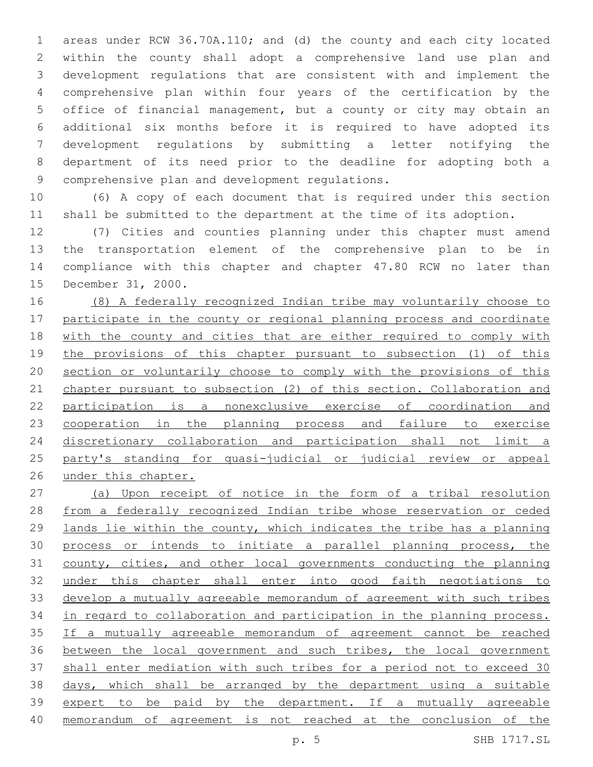areas under RCW 36.70A.110; and (d) the county and each city located within the county shall adopt a comprehensive land use plan and development regulations that are consistent with and implement the comprehensive plan within four years of the certification by the office of financial management, but a county or city may obtain an additional six months before it is required to have adopted its development regulations by submitting a letter notifying the department of its need prior to the deadline for adopting both a 9 comprehensive plan and development regulations.

 (6) A copy of each document that is required under this section shall be submitted to the department at the time of its adoption.

 (7) Cities and counties planning under this chapter must amend the transportation element of the comprehensive plan to be in compliance with this chapter and chapter 47.80 RCW no later than 15 December 31, 2000.

 (8) A federally recognized Indian tribe may voluntarily choose to participate in the county or regional planning process and coordinate with the county and cities that are either required to comply with 19 the provisions of this chapter pursuant to subsection (1) of this section or voluntarily choose to comply with the provisions of this chapter pursuant to subsection (2) of this section. Collaboration and participation is a nonexclusive exercise of coordination and 23 cooperation in the planning process and failure to exercise discretionary collaboration and participation shall not limit a party's standing for quasi-judicial or judicial review or appeal under this chapter.

 (a) Upon receipt of notice in the form of a tribal resolution from a federally recognized Indian tribe whose reservation or ceded lands lie within the county, which indicates the tribe has a planning process or intends to initiate a parallel planning process, the county, cities, and other local governments conducting the planning under this chapter shall enter into good faith negotiations to develop a mutually agreeable memorandum of agreement with such tribes in regard to collaboration and participation in the planning process. If a mutually agreeable memorandum of agreement cannot be reached between the local government and such tribes, the local government shall enter mediation with such tribes for a period not to exceed 30 days, which shall be arranged by the department using a suitable expert to be paid by the department. If a mutually agreeable memorandum of agreement is not reached at the conclusion of the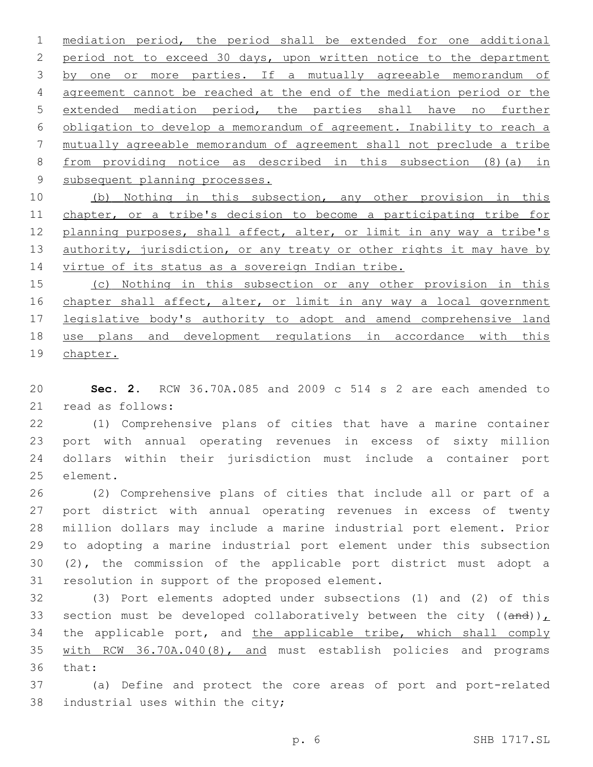mediation period, the period shall be extended for one additional period not to exceed 30 days, upon written notice to the department by one or more parties. If a mutually agreeable memorandum of agreement cannot be reached at the end of the mediation period or the extended mediation period, the parties shall have no further obligation to develop a memorandum of agreement. Inability to reach a mutually agreeable memorandum of agreement shall not preclude a tribe from providing notice as described in this subsection (8)(a) in 9 subsequent planning processes.

 (b) Nothing in this subsection, any other provision in this chapter, or a tribe's decision to become a participating tribe for 12 planning purposes, shall affect, alter, or limit in any way a tribe's 13 authority, jurisdiction, or any treaty or other rights it may have by virtue of its status as a sovereign Indian tribe.

 (c) Nothing in this subsection or any other provision in this 16 chapter shall affect, alter, or limit in any way a local government legislative body's authority to adopt and amend comprehensive land use plans and development regulations in accordance with this chapter.

 **Sec. 2.** RCW 36.70A.085 and 2009 c 514 s 2 are each amended to 21 read as follows:

 (1) Comprehensive plans of cities that have a marine container port with annual operating revenues in excess of sixty million dollars within their jurisdiction must include a container port 25 element.

 (2) Comprehensive plans of cities that include all or part of a port district with annual operating revenues in excess of twenty million dollars may include a marine industrial port element. Prior to adopting a marine industrial port element under this subsection (2), the commission of the applicable port district must adopt a 31 resolution in support of the proposed element.

 (3) Port elements adopted under subsections (1) and (2) of this 33 section must be developed collaboratively between the city ((and)) $<sub>L</sub>$ </sub> 34 the applicable port, and the applicable tribe, which shall comply with RCW 36.70A.040(8), and must establish policies and programs 36 that:

 (a) Define and protect the core areas of port and port-related 38 industrial uses within the city;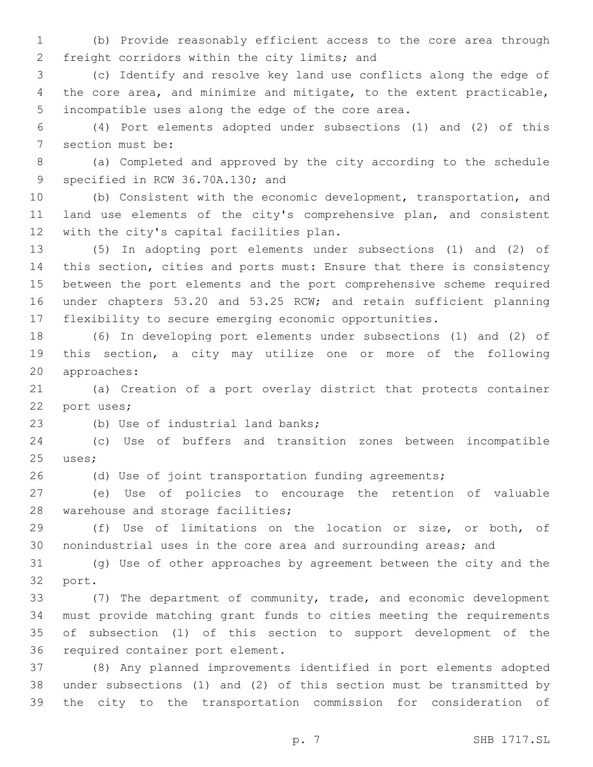(b) Provide reasonably efficient access to the core area through 2 freight corridors within the city limits; and

 (c) Identify and resolve key land use conflicts along the edge of the core area, and minimize and mitigate, to the extent practicable, 5 incompatible uses along the edge of the core area.

 (4) Port elements adopted under subsections (1) and (2) of this 7 section must be:

 (a) Completed and approved by the city according to the schedule 9 specified in RCW 36.70A.130; and

 (b) Consistent with the economic development, transportation, and land use elements of the city's comprehensive plan, and consistent 12 with the city's capital facilities plan.

 (5) In adopting port elements under subsections (1) and (2) of this section, cities and ports must: Ensure that there is consistency between the port elements and the port comprehensive scheme required under chapters 53.20 and 53.25 RCW; and retain sufficient planning flexibility to secure emerging economic opportunities.

 (6) In developing port elements under subsections (1) and (2) of this section, a city may utilize one or more of the following 20 approaches:

 (a) Creation of a port overlay district that protects container 22 port uses;

23 (b) Use of industrial land banks;

 (c) Use of buffers and transition zones between incompatible 25 uses;

26 (d) Use of joint transportation funding agreements;

 (e) Use of policies to encourage the retention of valuable 28 warehouse and storage facilities;

 (f) Use of limitations on the location or size, or both, of nonindustrial uses in the core area and surrounding areas; and

 (g) Use of other approaches by agreement between the city and the 32 port.

 (7) The department of community, trade, and economic development must provide matching grant funds to cities meeting the requirements of subsection (1) of this section to support development of the 36 required container port element.

 (8) Any planned improvements identified in port elements adopted under subsections (1) and (2) of this section must be transmitted by the city to the transportation commission for consideration of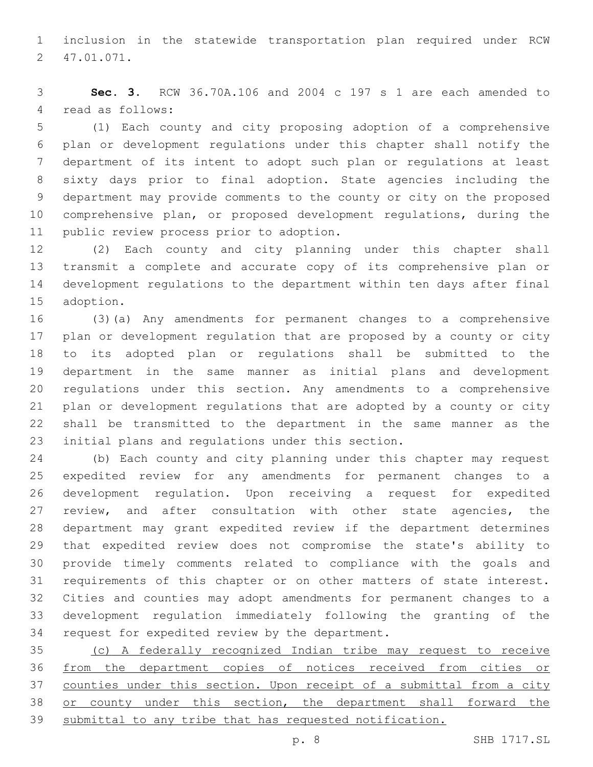inclusion in the statewide transportation plan required under RCW 47.01.071.2

 **Sec. 3.** RCW 36.70A.106 and 2004 c 197 s 1 are each amended to 4 read as follows:

 (1) Each county and city proposing adoption of a comprehensive plan or development regulations under this chapter shall notify the department of its intent to adopt such plan or regulations at least sixty days prior to final adoption. State agencies including the department may provide comments to the county or city on the proposed comprehensive plan, or proposed development regulations, during the 11 public review process prior to adoption.

 (2) Each county and city planning under this chapter shall transmit a complete and accurate copy of its comprehensive plan or development regulations to the department within ten days after final 15 adoption.

 (3)(a) Any amendments for permanent changes to a comprehensive plan or development regulation that are proposed by a county or city to its adopted plan or regulations shall be submitted to the department in the same manner as initial plans and development regulations under this section. Any amendments to a comprehensive plan or development regulations that are adopted by a county or city shall be transmitted to the department in the same manner as the 23 initial plans and regulations under this section.

 (b) Each county and city planning under this chapter may request expedited review for any amendments for permanent changes to a development regulation. Upon receiving a request for expedited 27 review, and after consultation with other state agencies, the department may grant expedited review if the department determines that expedited review does not compromise the state's ability to provide timely comments related to compliance with the goals and requirements of this chapter or on other matters of state interest. Cities and counties may adopt amendments for permanent changes to a development regulation immediately following the granting of the 34 request for expedited review by the department.

 (c) A federally recognized Indian tribe may request to receive from the department copies of notices received from cities or 37 counties under this section. Upon receipt of a submittal from a city or county under this section, the department shall forward the submittal to any tribe that has requested notification.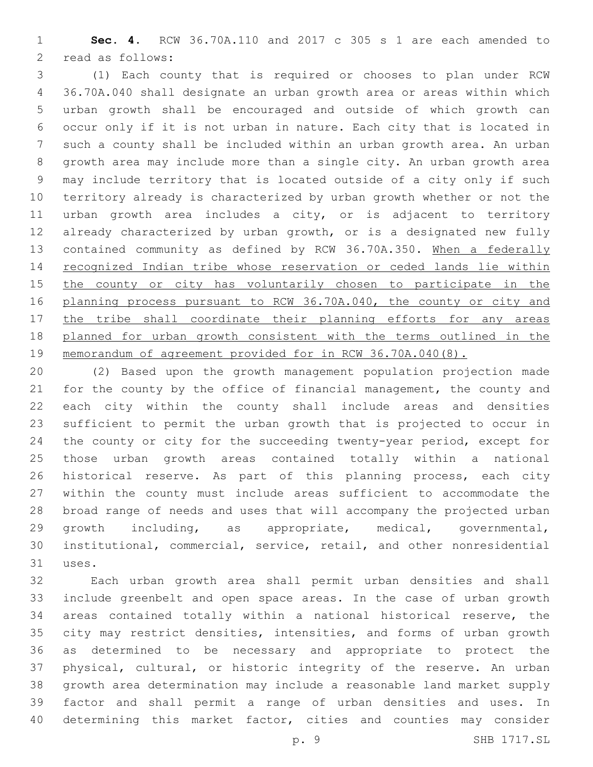**Sec. 4.** RCW 36.70A.110 and 2017 c 305 s 1 are each amended to 2 read as follows:

 (1) Each county that is required or chooses to plan under RCW 36.70A.040 shall designate an urban growth area or areas within which urban growth shall be encouraged and outside of which growth can occur only if it is not urban in nature. Each city that is located in such a county shall be included within an urban growth area. An urban growth area may include more than a single city. An urban growth area may include territory that is located outside of a city only if such territory already is characterized by urban growth whether or not the urban growth area includes a city, or is adjacent to territory already characterized by urban growth, or is a designated new fully 13 contained community as defined by RCW 36.70A.350. When a federally recognized Indian tribe whose reservation or ceded lands lie within 15 the county or city has voluntarily chosen to participate in the planning process pursuant to RCW 36.70A.040, the county or city and 17 the tribe shall coordinate their planning efforts for any areas planned for urban growth consistent with the terms outlined in the memorandum of agreement provided for in RCW 36.70A.040(8).

 (2) Based upon the growth management population projection made 21 for the county by the office of financial management, the county and each city within the county shall include areas and densities sufficient to permit the urban growth that is projected to occur in the county or city for the succeeding twenty-year period, except for those urban growth areas contained totally within a national historical reserve. As part of this planning process, each city within the county must include areas sufficient to accommodate the broad range of needs and uses that will accompany the projected urban growth including, as appropriate, medical, governmental, institutional, commercial, service, retail, and other nonresidential 31 uses.

 Each urban growth area shall permit urban densities and shall include greenbelt and open space areas. In the case of urban growth areas contained totally within a national historical reserve, the city may restrict densities, intensities, and forms of urban growth as determined to be necessary and appropriate to protect the physical, cultural, or historic integrity of the reserve. An urban growth area determination may include a reasonable land market supply factor and shall permit a range of urban densities and uses. In determining this market factor, cities and counties may consider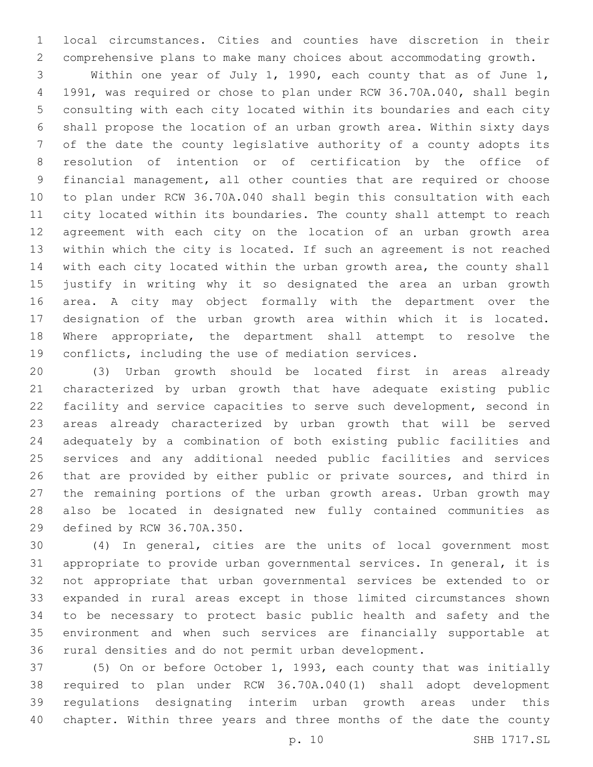local circumstances. Cities and counties have discretion in their comprehensive plans to make many choices about accommodating growth.

 Within one year of July 1, 1990, each county that as of June 1, 1991, was required or chose to plan under RCW 36.70A.040, shall begin consulting with each city located within its boundaries and each city shall propose the location of an urban growth area. Within sixty days of the date the county legislative authority of a county adopts its resolution of intention or of certification by the office of financial management, all other counties that are required or choose to plan under RCW 36.70A.040 shall begin this consultation with each city located within its boundaries. The county shall attempt to reach agreement with each city on the location of an urban growth area within which the city is located. If such an agreement is not reached with each city located within the urban growth area, the county shall justify in writing why it so designated the area an urban growth area. A city may object formally with the department over the designation of the urban growth area within which it is located. Where appropriate, the department shall attempt to resolve the conflicts, including the use of mediation services.

 (3) Urban growth should be located first in areas already characterized by urban growth that have adequate existing public facility and service capacities to serve such development, second in areas already characterized by urban growth that will be served adequately by a combination of both existing public facilities and services and any additional needed public facilities and services that are provided by either public or private sources, and third in the remaining portions of the urban growth areas. Urban growth may also be located in designated new fully contained communities as 29 defined by RCW 36.70A.350.

 (4) In general, cities are the units of local government most appropriate to provide urban governmental services. In general, it is not appropriate that urban governmental services be extended to or expanded in rural areas except in those limited circumstances shown to be necessary to protect basic public health and safety and the environment and when such services are financially supportable at rural densities and do not permit urban development.

 (5) On or before October 1, 1993, each county that was initially required to plan under RCW 36.70A.040(1) shall adopt development regulations designating interim urban growth areas under this chapter. Within three years and three months of the date the county

p. 10 SHB 1717.SL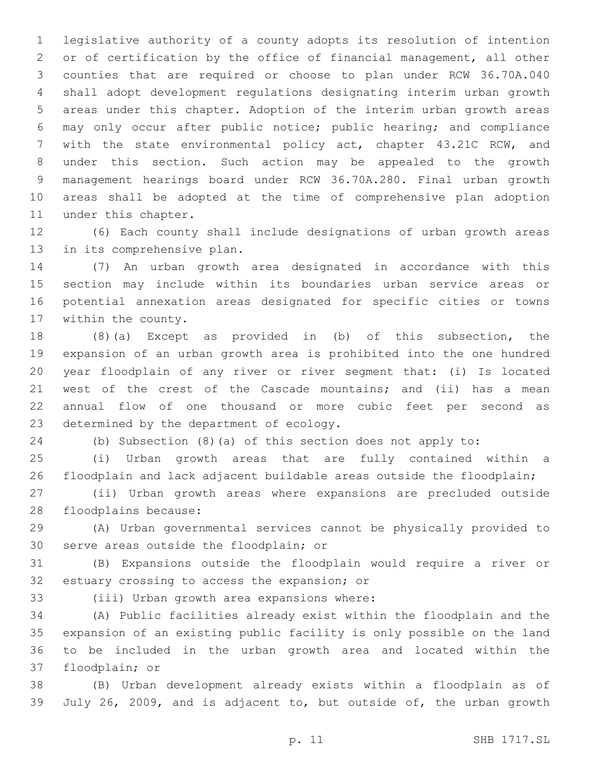legislative authority of a county adopts its resolution of intention or of certification by the office of financial management, all other counties that are required or choose to plan under RCW 36.70A.040 shall adopt development regulations designating interim urban growth areas under this chapter. Adoption of the interim urban growth areas may only occur after public notice; public hearing; and compliance with the state environmental policy act, chapter 43.21C RCW, and under this section. Such action may be appealed to the growth management hearings board under RCW 36.70A.280. Final urban growth areas shall be adopted at the time of comprehensive plan adoption 11 under this chapter.

 (6) Each county shall include designations of urban growth areas 13 in its comprehensive plan.

 (7) An urban growth area designated in accordance with this section may include within its boundaries urban service areas or potential annexation areas designated for specific cities or towns 17 within the county.

 (8)(a) Except as provided in (b) of this subsection, the expansion of an urban growth area is prohibited into the one hundred year floodplain of any river or river segment that: (i) Is located 21 west of the crest of the Cascade mountains; and (ii) has a mean annual flow of one thousand or more cubic feet per second as 23 determined by the department of ecology.

(b) Subsection (8)(a) of this section does not apply to:

 (i) Urban growth areas that are fully contained within a floodplain and lack adjacent buildable areas outside the floodplain;

 (ii) Urban growth areas where expansions are precluded outside 28 floodplains because:

 (A) Urban governmental services cannot be physically provided to 30 serve areas outside the floodplain; or

 (B) Expansions outside the floodplain would require a river or 32 estuary crossing to access the expansion; or

33 (iii) Urban growth area expansions where:

 (A) Public facilities already exist within the floodplain and the expansion of an existing public facility is only possible on the land to be included in the urban growth area and located within the 37 floodplain; or

 (B) Urban development already exists within a floodplain as of July 26, 2009, and is adjacent to, but outside of, the urban growth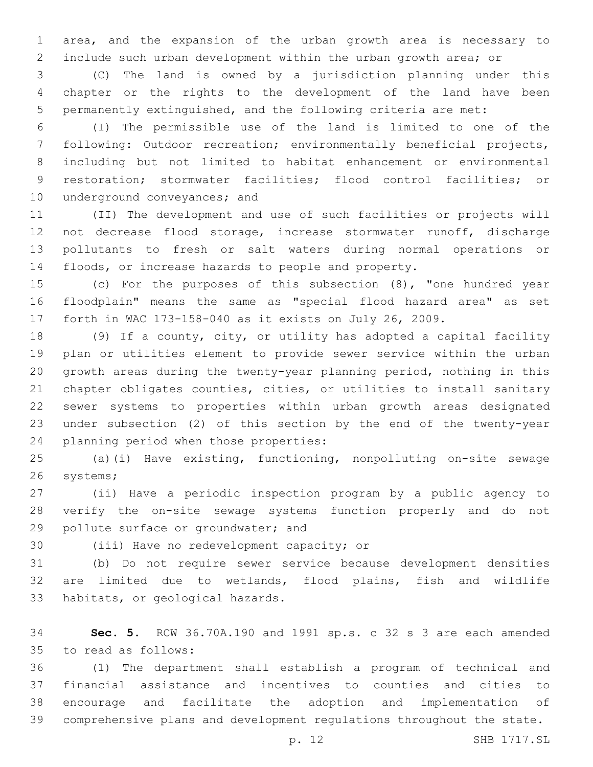area, and the expansion of the urban growth area is necessary to include such urban development within the urban growth area; or

 (C) The land is owned by a jurisdiction planning under this chapter or the rights to the development of the land have been permanently extinguished, and the following criteria are met:

 (I) The permissible use of the land is limited to one of the following: Outdoor recreation; environmentally beneficial projects, including but not limited to habitat enhancement or environmental restoration; stormwater facilities; flood control facilities; or 10 underground conveyances; and

 (II) The development and use of such facilities or projects will not decrease flood storage, increase stormwater runoff, discharge pollutants to fresh or salt waters during normal operations or floods, or increase hazards to people and property.

 (c) For the purposes of this subsection (8), "one hundred year floodplain" means the same as "special flood hazard area" as set forth in WAC 173-158-040 as it exists on July 26, 2009.

 (9) If a county, city, or utility has adopted a capital facility plan or utilities element to provide sewer service within the urban growth areas during the twenty-year planning period, nothing in this chapter obligates counties, cities, or utilities to install sanitary sewer systems to properties within urban growth areas designated under subsection (2) of this section by the end of the twenty-year 24 planning period when those properties:

 (a)(i) Have existing, functioning, nonpolluting on-site sewage 26 systems;

 (ii) Have a periodic inspection program by a public agency to verify the on-site sewage systems function properly and do not 29 pollute surface or groundwater; and

30 (iii) Have no redevelopment capacity; or

 (b) Do not require sewer service because development densities are limited due to wetlands, flood plains, fish and wildlife 33 habitats, or geological hazards.

 **Sec. 5.** RCW 36.70A.190 and 1991 sp.s. c 32 s 3 are each amended 35 to read as follows:

 (1) The department shall establish a program of technical and financial assistance and incentives to counties and cities to encourage and facilitate the adoption and implementation of comprehensive plans and development regulations throughout the state.

p. 12 SHB 1717.SL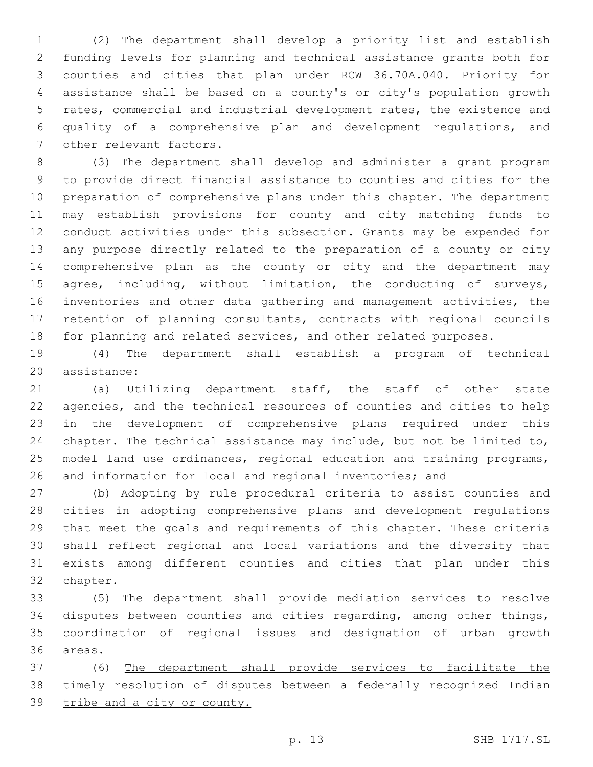(2) The department shall develop a priority list and establish funding levels for planning and technical assistance grants both for counties and cities that plan under RCW 36.70A.040. Priority for assistance shall be based on a county's or city's population growth rates, commercial and industrial development rates, the existence and quality of a comprehensive plan and development regulations, and 7 other relevant factors.

 (3) The department shall develop and administer a grant program to provide direct financial assistance to counties and cities for the preparation of comprehensive plans under this chapter. The department may establish provisions for county and city matching funds to conduct activities under this subsection. Grants may be expended for any purpose directly related to the preparation of a county or city comprehensive plan as the county or city and the department may agree, including, without limitation, the conducting of surveys, inventories and other data gathering and management activities, the retention of planning consultants, contracts with regional councils 18 for planning and related services, and other related purposes.

 (4) The department shall establish a program of technical 20 assistance:

 (a) Utilizing department staff, the staff of other state agencies, and the technical resources of counties and cities to help in the development of comprehensive plans required under this chapter. The technical assistance may include, but not be limited to, model land use ordinances, regional education and training programs, and information for local and regional inventories; and

 (b) Adopting by rule procedural criteria to assist counties and cities in adopting comprehensive plans and development regulations that meet the goals and requirements of this chapter. These criteria shall reflect regional and local variations and the diversity that exists among different counties and cities that plan under this 32 chapter.

 (5) The department shall provide mediation services to resolve disputes between counties and cities regarding, among other things, coordination of regional issues and designation of urban growth 36 areas.

 (6) The department shall provide services to facilitate the timely resolution of disputes between a federally recognized Indian tribe and a city or county.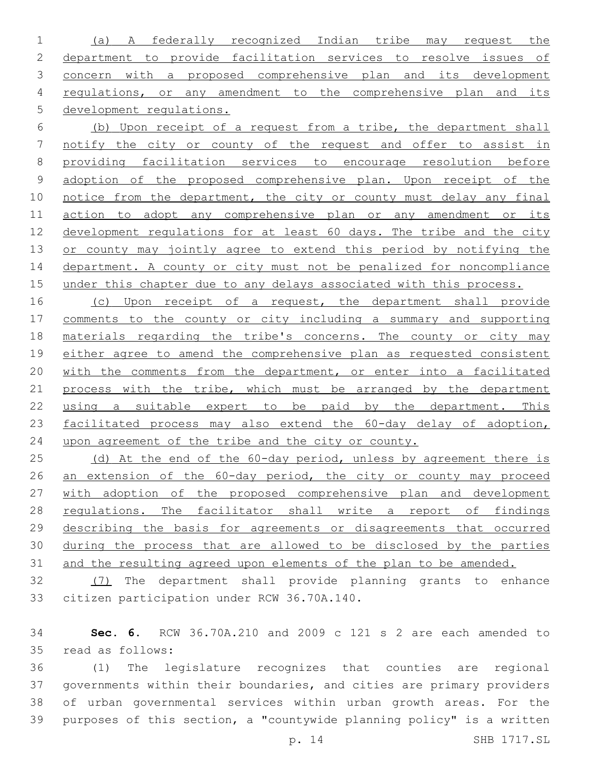(a) A federally recognized Indian tribe may request the department to provide facilitation services to resolve issues of concern with a proposed comprehensive plan and its development 4 regulations, or any amendment to the comprehensive plan and its development regulations.

 (b) Upon receipt of a request from a tribe, the department shall notify the city or county of the request and offer to assist in providing facilitation services to encourage resolution before adoption of the proposed comprehensive plan. Upon receipt of the 10 notice from the department, the city or county must delay any final action to adopt any comprehensive plan or any amendment or its development regulations for at least 60 days. The tribe and the city 13 or county may jointly agree to extend this period by notifying the department. A county or city must not be penalized for noncompliance 15 under this chapter due to any delays associated with this process.

16 (c) Upon receipt of a request, the department shall provide 17 comments to the county or city including a summary and supporting 18 materials regarding the tribe's concerns. The county or city may 19 either agree to amend the comprehensive plan as requested consistent 20 with the comments from the department, or enter into a facilitated 21 process with the tribe, which must be arranged by the department 22 using a suitable expert to be paid by the department. This 23 facilitated process may also extend the 60-day delay of adoption, 24 upon agreement of the tribe and the city or county.

25 (d) At the end of the 60-day period, unless by agreement there is 26 an extension of the 60-day period, the city or county may proceed 27 with adoption of the proposed comprehensive plan and development 28 regulations. The facilitator shall write a report of findings 29 describing the basis for agreements or disagreements that occurred 30 during the process that are allowed to be disclosed by the parties 31 and the resulting agreed upon elements of the plan to be amended.

32 (7) The department shall provide planning grants to enhance 33 citizen participation under RCW 36.70A.140.

34 **Sec. 6.** RCW 36.70A.210 and 2009 c 121 s 2 are each amended to read as follows:35

 (1) The legislature recognizes that counties are regional governments within their boundaries, and cities are primary providers of urban governmental services within urban growth areas. For the purposes of this section, a "countywide planning policy" is a written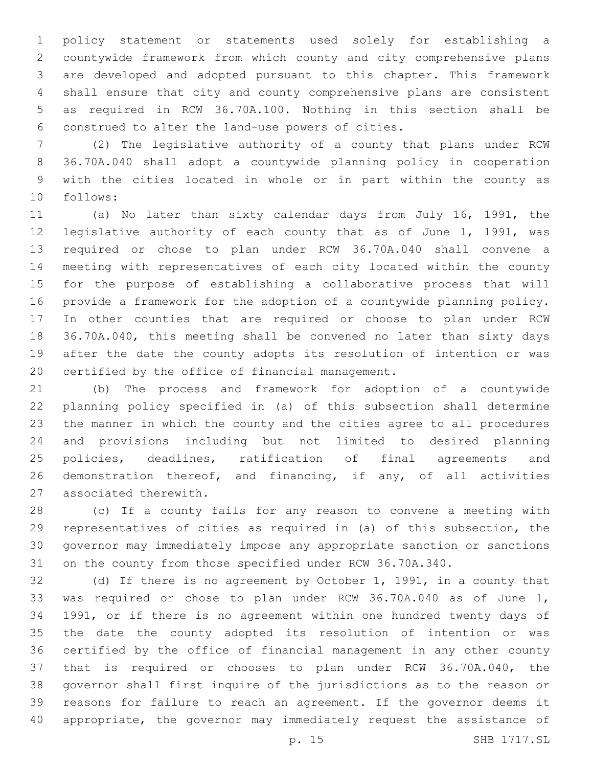policy statement or statements used solely for establishing a countywide framework from which county and city comprehensive plans are developed and adopted pursuant to this chapter. This framework shall ensure that city and county comprehensive plans are consistent as required in RCW 36.70A.100. Nothing in this section shall be 6 construed to alter the land-use powers of cities.

 (2) The legislative authority of a county that plans under RCW 36.70A.040 shall adopt a countywide planning policy in cooperation with the cities located in whole or in part within the county as follows:10

 (a) No later than sixty calendar days from July 16, 1991, the legislative authority of each county that as of June 1, 1991, was required or chose to plan under RCW 36.70A.040 shall convene a meeting with representatives of each city located within the county for the purpose of establishing a collaborative process that will provide a framework for the adoption of a countywide planning policy. In other counties that are required or choose to plan under RCW 36.70A.040, this meeting shall be convened no later than sixty days after the date the county adopts its resolution of intention or was 20 certified by the office of financial management.

 (b) The process and framework for adoption of a countywide planning policy specified in (a) of this subsection shall determine the manner in which the county and the cities agree to all procedures and provisions including but not limited to desired planning policies, deadlines, ratification of final agreements and demonstration thereof, and financing, if any, of all activities 27 associated therewith.

 (c) If a county fails for any reason to convene a meeting with representatives of cities as required in (a) of this subsection, the governor may immediately impose any appropriate sanction or sanctions on the county from those specified under RCW 36.70A.340.

 (d) If there is no agreement by October 1, 1991, in a county that was required or chose to plan under RCW 36.70A.040 as of June 1, 1991, or if there is no agreement within one hundred twenty days of the date the county adopted its resolution of intention or was certified by the office of financial management in any other county that is required or chooses to plan under RCW 36.70A.040, the governor shall first inquire of the jurisdictions as to the reason or reasons for failure to reach an agreement. If the governor deems it appropriate, the governor may immediately request the assistance of

p. 15 SHB 1717.SL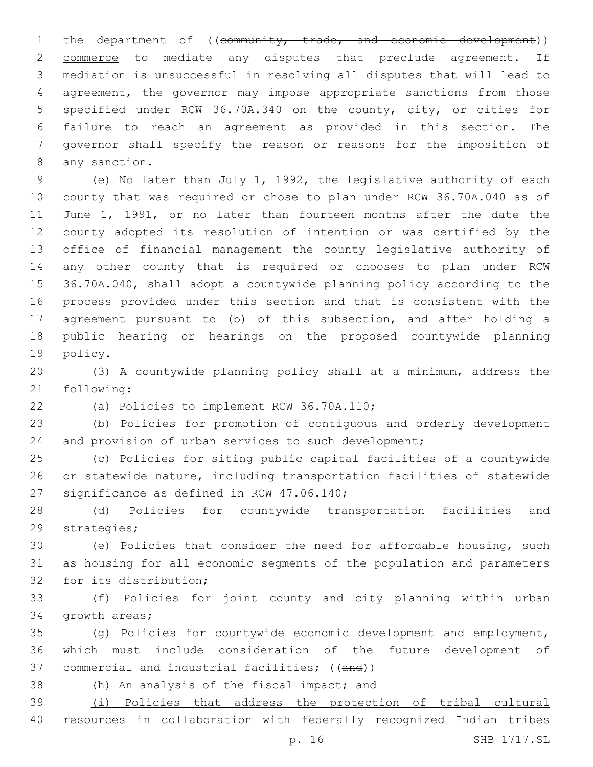1 the department of ((community, trade, and economic development)) 2 commerce to mediate any disputes that preclude agreement. If mediation is unsuccessful in resolving all disputes that will lead to agreement, the governor may impose appropriate sanctions from those specified under RCW 36.70A.340 on the county, city, or cities for failure to reach an agreement as provided in this section. The governor shall specify the reason or reasons for the imposition of 8 any sanction.

 (e) No later than July 1, 1992, the legislative authority of each county that was required or chose to plan under RCW 36.70A.040 as of June 1, 1991, or no later than fourteen months after the date the county adopted its resolution of intention or was certified by the office of financial management the county legislative authority of any other county that is required or chooses to plan under RCW 36.70A.040, shall adopt a countywide planning policy according to the process provided under this section and that is consistent with the agreement pursuant to (b) of this subsection, and after holding a public hearing or hearings on the proposed countywide planning 19 policy.

 (3) A countywide planning policy shall at a minimum, address the 21 following:

22 (a) Policies to implement RCW 36.70A.110;

 (b) Policies for promotion of contiguous and orderly development 24 and provision of urban services to such development;

 (c) Policies for siting public capital facilities of a countywide or statewide nature, including transportation facilities of statewide 27 significance as defined in RCW 47.06.140;

 (d) Policies for countywide transportation facilities and 29 strategies;

 (e) Policies that consider the need for affordable housing, such as housing for all economic segments of the population and parameters 32 for its distribution;

 (f) Policies for joint county and city planning within urban 34 growth areas;

 (g) Policies for countywide economic development and employment, which must include consideration of the future development of 37 commercial and industrial facilities; ((and))

38 (h) An analysis of the fiscal impact; and

 (i) Policies that address the protection of tribal cultural resources in collaboration with federally recognized Indian tribes

p. 16 SHB 1717.SL